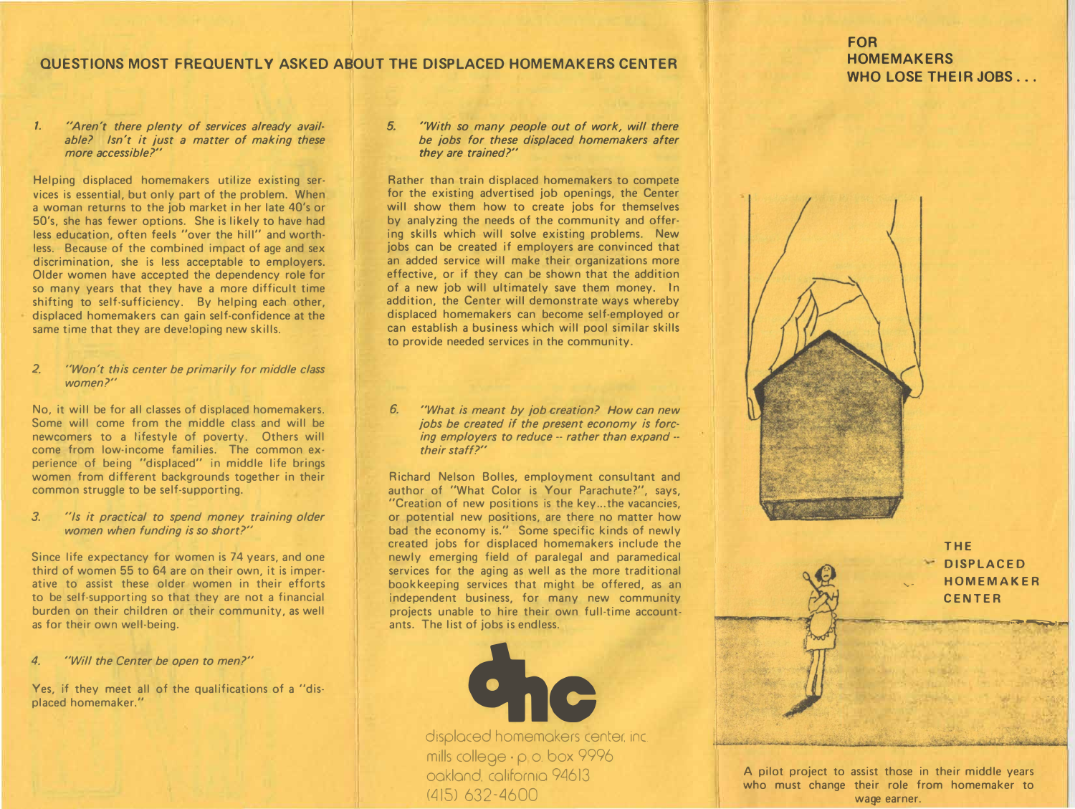## **QUESTIONS MOST FREQUENTLY ASKED ABOUT THE DISPLACED HOMEMAKERS CENTER**

#### *1. "Aren't there plenty of services already available? Isn't it just a matter of making these more accessible?"*

**Helping displaced homemakers utilize existing services is essential, but only part of the problem. When a woman returns to the job market in her late 40's or 50's, she has fewer options. She is likely to have had less education, often feels "over the hill" and worthless. Because of the combined impact of age and sex discrimination, she is less acceptable to employers. Older women have accepted the dependency role for so many years that they have a more difficult time shifting to self-sufficiency. By helping each other, displaced homemakers can gain self-confidence at the same time that they are developing new skills.** 

#### *2. "Won't this center be primarily for middle class women?"*

**No, it will be for all classes of displaced homemakers. Some will come from the middle class and will be newcomers to a lifestyle of poverty. Others will come from low-income families. The common experience of being "displaced" in middle life brings women from different backgrounds together in their common struggle to be self-supporting.** 

#### *3. "Is it practical to spend money training older women when funding is so short?"*

**Since life expectancy for women is 74 years, and one third of women 55 to 64 are on their own, it is imperative to assist these older women in their efforts to be self-supporting so that they are not a financial burden on their children or their community, as well as for their own well-being.** 

#### *4. "Will the Center be open to men?"*

**Yes, if they meet all of the qualifications of a "displaced homemaker."** 

#### *5. "With so many people out of work, will there be jobs for these displaced homemakers after they are trained?"*

**Rather than train displaced homemakers to compete for the existing advertised job openings, the Center will show them how to create jobs for themselves by analyzing the needs of the community and offering skills which will solve existing problems. New jobs can be created if employers are convinced that an added service will make their organizations more effective, or if they can be shown that the addition of a new job will ultimately save them money. In addition, the Center will demonstrate ways whereby displaced homemakers can become self-employed or can establish a business which will pool similar skills to provide needed services in the community.** 

*6. "What is meant by job.creation? How can new jobs be created if the present economy is forcing employers to reduce* -- *rather than expand their staff?"* 

**Richard Nelson Bolles, employment consultant and author of "What Color is Your Parachute?", says, "Creation of new positions is the key ... the vacancies, or potential new positions, are there no matter how bad the economy is." Some specific kinds of newly created jobs for displaced homemakers include the newly emerging field of paralegal and paramedical services for the aging as well as the more traditional bookkeeping services that might be offered, as an independent business, for many new community projects unable to hire their own full-time account· ants. The list of jobs is endless.** 



mills college· p o. box 9996 oakland. california 94613  $(415) 632 - 4600$ 

# **FOR HOMEMAKERS WHO LOSE THEIR JOBS ...**



**THE DISPLACED HOMEMAKER CENTER** 

"""-"�

J,' -·,

**A pilot project to assist those in their middle years who must change their role from homemaker to**  wage earner.

',.-